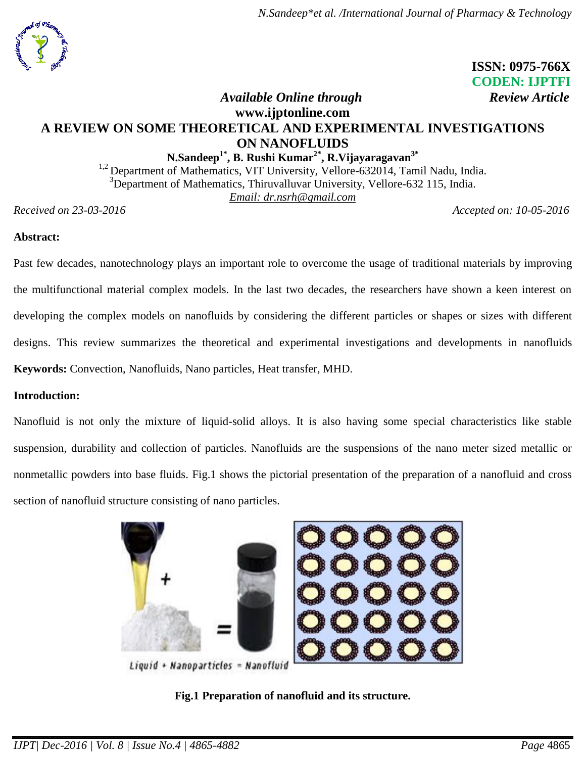

 **ISSN: 0975-766X CODEN: IJPTFI**

## *Available Online through Review Article* **[www.ijptonline.com](http://www.ijptonline.com/) A REVIEW ON SOME THEORETICAL AND EXPERIMENTAL INVESTIGATIONS ON NANOFLUIDS**

**N.Sandeep1\* , B. Rushi Kumar2\* , R.Vijayaragavan3\***   $1.2$  Department of Mathematics, VIT University, Vellore-632014, Tamil Nadu, India.  $3$ Department of Mathematics, Thiruvalluvar University, Vellore-632 115, India. *Email: dr.nsrh@gmail.com*

*Received on 23-03-2016 Accepted on: 10-05-2016*

## **Abstract:**

Past few decades, nanotechnology plays an important role to overcome the usage of traditional materials by improving the multifunctional material complex models. In the last two decades, the researchers have shown a keen interest on developing the complex models on nanofluids by considering the different particles or shapes or sizes with different designs. This review summarizes the theoretical and experimental investigations and developments in nanofluids **Keywords:** Convection, Nanofluids, Nano particles, Heat transfer, MHD.

### **Introduction:**

Nanofluid is not only the mixture of liquid-solid alloys. It is also having some special characteristics like stable suspension, durability and collection of particles. Nanofluids are the suspensions of the nano meter sized metallic or nonmetallic powders into base fluids. Fig.1 shows the pictorial presentation of the preparation of a nanofluid and cross section of nanofluid structure consisting of nano particles.



Liquid + Nanoparticles = Nanofluid

## **Fig.1 Preparation of nanofluid and its structure.**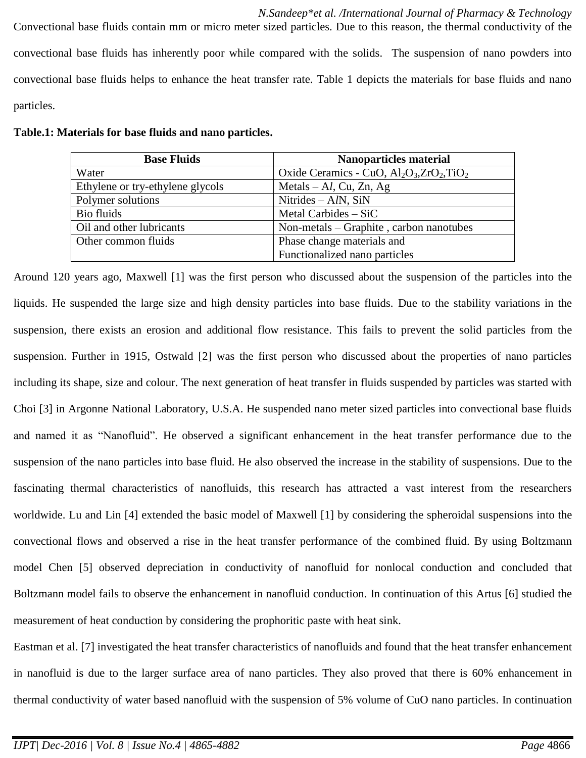*N.Sandeep\*et al. /International Journal of Pharmacy & Technology* Convectional base fluids contain mm or micro meter sized particles. Due to this reason, the thermal conductivity of the convectional base fluids has inherently poor while compared with the solids. The suspension of nano powders into convectional base fluids helps to enhance the heat transfer rate. Table 1 depicts the materials for base fluids and nano particles.

| <b>Base Fluids</b>               | <b>Nanoparticles material</b>                       |
|----------------------------------|-----------------------------------------------------|
| Water                            | Oxide Ceramics - CuO, $Al_2O_3$ , $ZrO_2$ , $TiO_2$ |
| Ethylene or try-ethylene glycols | Metals $-Al$ , Cu, Zn, Ag                           |
| Polymer solutions                | Nitrides $-A/N$ , SiN                               |
| Bio fluids                       | Metal Carbides $-$ SiC                              |
| Oil and other lubricants         | Non-metals – Graphite, carbon nanotubes             |
| Other common fluids              | Phase change materials and                          |
|                                  | Functionalized nano particles                       |

Around 120 years ago, Maxwell [1] was the first person who discussed about the suspension of the particles into the liquids. He suspended the large size and high density particles into base fluids. Due to the stability variations in the suspension, there exists an erosion and additional flow resistance. This fails to prevent the solid particles from the suspension. Further in 1915, Ostwald [2] was the first person who discussed about the properties of nano particles including its shape, size and colour. The next generation of heat transfer in fluids suspended by particles was started with Choi [3] in Argonne National Laboratory, U.S.A. He suspended nano meter sized particles into convectional base fluids and named it as "Nanofluid". He observed a significant enhancement in the heat transfer performance due to the suspension of the nano particles into base fluid. He also observed the increase in the stability of suspensions. Due to the fascinating thermal characteristics of nanofluids, this research has attracted a vast interest from the researchers worldwide. Lu and Lin [4] extended the basic model of Maxwell [1] by considering the spheroidal suspensions into the convectional flows and observed a rise in the heat transfer performance of the combined fluid. By using Boltzmann model Chen [5] observed depreciation in conductivity of nanofluid for nonlocal conduction and concluded that Boltzmann model fails to observe the enhancement in nanofluid conduction. In continuation of this Artus [6] studied the measurement of heat conduction by considering the prophoritic paste with heat sink.

Eastman et al. [7] investigated the heat transfer characteristics of nanofluids and found that the heat transfer enhancement in nanofluid is due to the larger surface area of nano particles. They also proved that there is 60% enhancement in thermal conductivity of water based nanofluid with the suspension of 5% volume of CuO nano particles. In continuation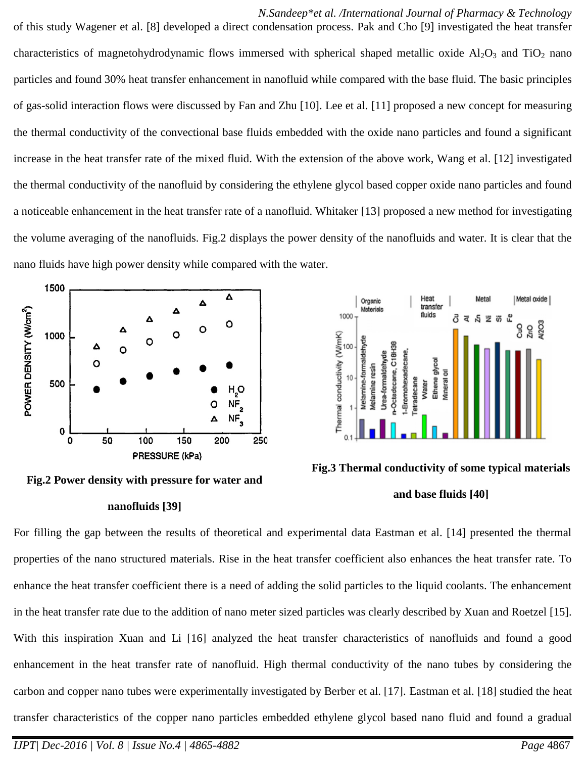*N.Sandeep\*et al. /International Journal of Pharmacy & Technology* of this study Wagener et al. [8] developed a direct condensation process. Pak and Cho [9] investigated the heat transfer characteristics of magnetohydrodynamic flows immersed with spherical shaped metallic oxide  $Al_2O_3$  and TiO<sub>2</sub> nano particles and found 30% heat transfer enhancement in nanofluid while compared with the base fluid. The basic principles of gas-solid interaction flows were discussed by Fan and Zhu [10]. Lee et al. [11] proposed a new concept for measuring the thermal conductivity of the convectional base fluids embedded with the oxide nano particles and found a significant increase in the heat transfer rate of the mixed fluid. With the extension of the above work, Wang et al. [12] investigated the thermal conductivity of the nanofluid by considering the ethylene glycol based copper oxide nano particles and found a noticeable enhancement in the heat transfer rate of a nanofluid. Whitaker [13] proposed a new method for investigating the volume averaging of the nanofluids. Fig.2 displays the power density of the nanofluids and water. It is clear that the nano fluids have high power density while compared with the water.



**Fig.2 Power density with pressure for water and** 

#### **nanofluids [39]**



**Fig.3 Thermal conductivity of some typical materials and base fluids [40]**

For filling the gap between the results of theoretical and experimental data Eastman et al. [14] presented the thermal properties of the nano structured materials. Rise in the heat transfer coefficient also enhances the heat transfer rate. To enhance the heat transfer coefficient there is a need of adding the solid particles to the liquid coolants. The enhancement in the heat transfer rate due to the addition of nano meter sized particles was clearly described by Xuan and Roetzel [15]. With this inspiration Xuan and Li [16] analyzed the heat transfer characteristics of nanofluids and found a good enhancement in the heat transfer rate of nanofluid. High thermal conductivity of the nano tubes by considering the carbon and copper nano tubes were experimentally investigated by Berber et al. [17]. Eastman et al. [18] studied the heat transfer characteristics of the copper nano particles embedded ethylene glycol based nano fluid and found a gradual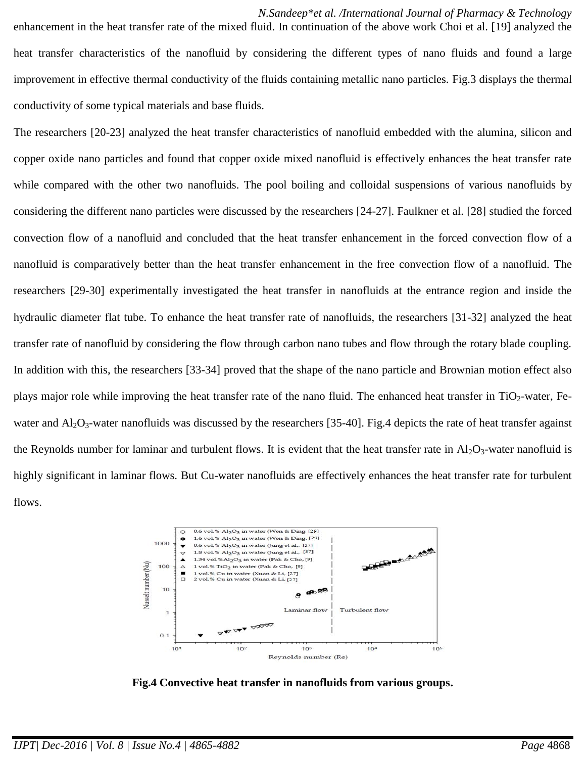*N.Sandeep\*et al. /International Journal of Pharmacy & Technology* enhancement in the heat transfer rate of the mixed fluid. In continuation of the above work Choi et al. [19] analyzed the heat transfer characteristics of the nanofluid by considering the different types of nano fluids and found a large improvement in effective thermal conductivity of the fluids containing metallic nano particles. Fig.3 displays the thermal conductivity of some typical materials and base fluids.

The researchers [20-23] analyzed the heat transfer characteristics of nanofluid embedded with the alumina, silicon and copper oxide nano particles and found that copper oxide mixed nanofluid is effectively enhances the heat transfer rate while compared with the other two nanofluids. The pool boiling and colloidal suspensions of various nanofluids by considering the different nano particles were discussed by the researchers [24-27]. Faulkner et al. [28] studied the forced convection flow of a nanofluid and concluded that the heat transfer enhancement in the forced convection flow of a nanofluid is comparatively better than the heat transfer enhancement in the free convection flow of a nanofluid. The researchers [29-30] experimentally investigated the heat transfer in nanofluids at the entrance region and inside the hydraulic diameter flat tube. To enhance the heat transfer rate of nanofluids, the researchers [31-32] analyzed the heat transfer rate of nanofluid by considering the flow through carbon nano tubes and flow through the rotary blade coupling. In addition with this, the researchers [33-34] proved that the shape of the nano particle and Brownian motion effect also plays major role while improving the heat transfer rate of the nano fluid. The enhanced heat transfer in  $TiO<sub>2</sub>$ -water, Fewater and  $Al_2O_3$ -water nanofluids was discussed by the researchers [35-40]. Fig.4 depicts the rate of heat transfer against the Reynolds number for laminar and turbulent flows. It is evident that the heat transfer rate in  $Al_2O_3$ -water nanofluid is highly significant in laminar flows. But Cu-water nanofluids are effectively enhances the heat transfer rate for turbulent flows.



**Fig.4 Convective heat transfer in nanofluids from various groups.**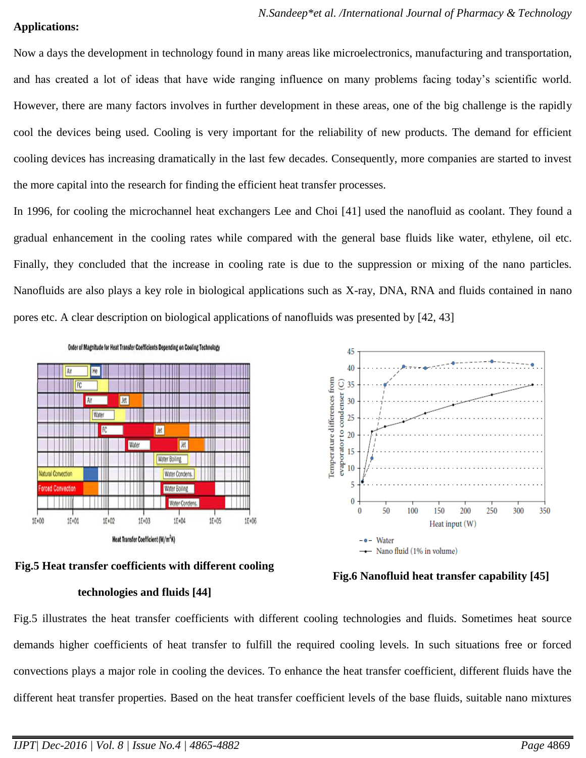### **Applications:**

Now a days the development in technology found in many areas like microelectronics, manufacturing and transportation, and has created a lot of ideas that have wide ranging influence on many problems facing today's scientific world. However, there are many factors involves in further development in these areas, one of the big challenge is the rapidly cool the devices being used. Cooling is very important for the reliability of new products. The demand for efficient cooling devices has increasing dramatically in the last few decades. Consequently, more companies are started to invest the more capital into the research for finding the efficient heat transfer processes.

In 1996, for cooling the microchannel heat exchangers Lee and Choi [41] used the nanofluid as coolant. They found a gradual enhancement in the cooling rates while compared with the general base fluids like water, ethylene, oil etc. Finally, they concluded that the increase in cooling rate is due to the suppression or mixing of the nano particles. Nanofluids are also plays a key role in biological applications such as X-ray, DNA, RNA and fluids contained in nano pores etc. A clear description on biological applications of nanofluids was presented by [42, 43]





#### **technologies and fluids [44]**



**Fig.6 Nanofluid heat transfer capability [45]**

Fig.5 illustrates the heat transfer coefficients with different cooling technologies and fluids. Sometimes heat source demands higher coefficients of heat transfer to fulfill the required cooling levels. In such situations free or forced convections plays a major role in cooling the devices. To enhance the heat transfer coefficient, different fluids have the different heat transfer properties. Based on the heat transfer coefficient levels of the base fluids, suitable nano mixtures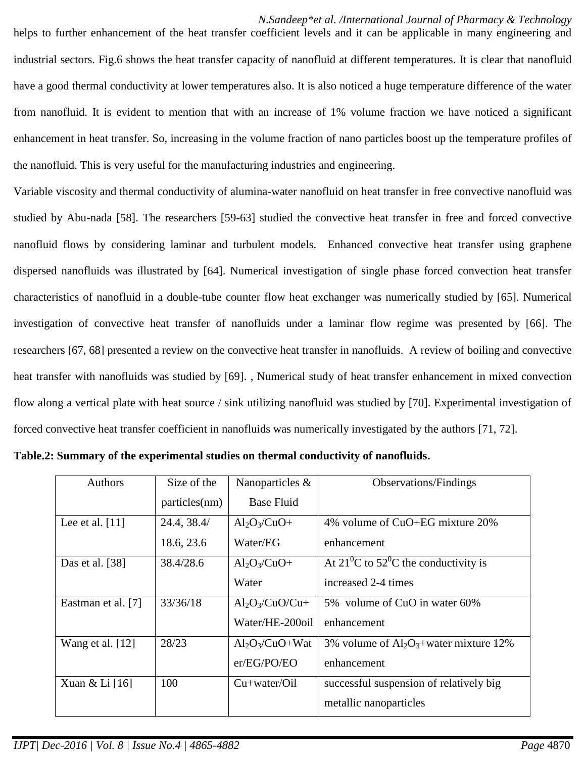#### *N.Sandeep\*et al. /International Journal of Pharmacy & Technology*

helps to further enhancement of the heat transfer coefficient levels and it can be applicable in many engineering and industrial sectors. Fig.6 shows the heat transfer capacity of nanofluid at different temperatures. It is clear that nanofluid have a good thermal conductivity at lower temperatures also. It is also noticed a huge temperature difference of the water from nanofluid. It is evident to mention that with an increase of 1% volume fraction we have noticed a significant enhancement in heat transfer. So, increasing in the volume fraction of nano particles boost up the temperature profiles of the nanofluid. This is very useful for the manufacturing industries and engineering.

Variable viscosity and thermal conductivity of alumina-water nanofluid on heat transfer in free convective nanofluid was studied by Abu-nada [58]. The researchers [59-63] studied the convective heat transfer in free and forced convective nanofluid flows by considering laminar and turbulent models. Enhanced convective heat transfer using graphene dispersed nanofluids was illustrated by [64]. Numerical investigation of single phase forced convection heat transfer characteristics of nanofluid in a double-tube counter flow heat exchanger was numerically studied by [65]. Numerical investigation of convective heat transfer of nanofluids under a laminar flow regime was presented by [66]. The researchers [67, 68] presented a review on the convective heat transfer in nanofluids. A review of boiling and convective heat transfer with nanofluids was studied by [69]. , Numerical study of heat transfer enhancement in mixed convection flow along a vertical plate with heat source / sink utilizing nanofluid was studied by [70]. Experimental investigation of forced convective heat transfer coefficient in nanofluids was numerically investigated by the authors [71, 72].

| <b>Authors</b>     | Size of the<br>particles(nm) | Nanoparticles &<br><b>Base Fluid</b> | <b>Observations/Findings</b>                |
|--------------------|------------------------------|--------------------------------------|---------------------------------------------|
| Lee et al. $[11]$  | 24.4, 38.4/                  | $Al_2O_3/CuO+$                       | 4% volume of CuO+EG mixture 20%             |
|                    | 18.6, 23.6                   | Water/EG                             | enhancement                                 |
| Das et al. [38]    | 38.4/28.6                    | $Al_2O_3/CuO+$                       | At $21^0$ C to $52^0$ C the conductivity is |
|                    |                              | Water                                | increased 2-4 times                         |
| Eastman et al. [7] | 33/36/18                     | $Al_2O_3/CuO/Cu+$                    | 5% volume of CuO in water 60%               |
|                    |                              | Water/HE-200oil                      | enhancement                                 |
| Wang et al. $[12]$ | 28/23                        | $Al_2O_3/CuO+Wat$                    | 3% volume of $Al_2O_3$ +water mixture 12%   |
|                    |                              | er/EG/PO/EO                          | enhancement                                 |
| Xuan & Li [16]     | 100                          | $Cu+water/Oi1$                       | successful suspension of relatively big     |
|                    |                              |                                      | metallic nanoparticles                      |

**Table.2: Summary of the experimental studies on thermal conductivity of nanofluids.**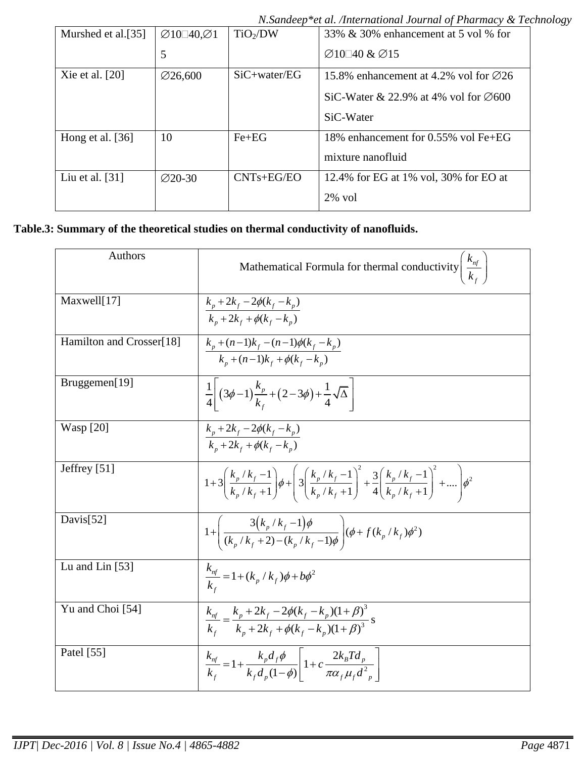*N.Sandeep\*et al. /International Journal of Pharmacy & Technology*

| Murshed et al.[35] | $\varnothing$ 10 $\Box$ 40, $\varnothing$ 1 | TiO <sub>2</sub> /DW | 33% & 30% enhancement at 5 vol % for              |
|--------------------|---------------------------------------------|----------------------|---------------------------------------------------|
|                    | 5                                           |                      | $\varnothing$ 10 40 & $\varnothing$ 15            |
| Xie et al. $[20]$  | $\varnothing$ 26,600                        | $SiC + water/EG$     | 15.8% enhancement at 4.2% vol for $\emptyset$ 26  |
|                    |                                             |                      | SiC-Water & 22.9% at 4% vol for $\varnothing 600$ |
|                    |                                             |                      | SiC-Water                                         |
| Hong et al. $[36]$ | 10                                          | $Fe + EG$            | 18% enhancement for 0.55% vol Fe+EG               |
|                    |                                             |                      | mixture nanofluid                                 |
| Liu et al. $[31]$  | $\varnothing$ 20-30                         | $CNTs + EG/EO$       | 12.4% for EG at 1% vol, 30% for EO at             |
|                    |                                             |                      | $2\%$ vol                                         |

# **Table.3: Summary of the theoretical studies on thermal conductivity of nanofluids.**

| Authors                  | Mathematical Formula for thermal conductivity $\left  \frac{k_{nf}}{k_a} \right $                                                                                                                          |
|--------------------------|------------------------------------------------------------------------------------------------------------------------------------------------------------------------------------------------------------|
| Maxwell[17]              | $k_p + 2k_f - 2\phi(k_f - k_p)$<br>$k_{n} + 2k_{f} + \phi(k_{f} - k_{n})$                                                                                                                                  |
| Hamilton and Crosser[18] | $k_p + (n-1)k_f - (n-1)\phi(k_f - k_p)$<br>$k_n + (n-1)k_f + \phi(k_f - k_n)$                                                                                                                              |
| Bruggemen[19]            | $\frac{1}{4} \left[ (3\phi - 1) \frac{k_p}{k_f} + (2 - 3\phi) + \frac{1}{4} \sqrt{\Delta} \right]$                                                                                                         |
| <b>Wasp</b> [20]         | $\frac{k_p + 2k_f - 2\phi(k_f - k_p)}{k_p + 2k_f + \phi(k_f - k_p)}$                                                                                                                                       |
| Jeffrey $[51]$           | $1+3\left(\frac{k_{p}/k_{f}-1}{k_{p}/k_{f}+1}\right)\phi+\left(3\left(\frac{k_{p}/k_{f}-1}{k_{p}/k_{f}+1}\right)^{2}+\frac{3}{4}\left(\frac{k_{p}/k_{f}-1}{k_{p}/k_{f}+1}\right)^{2}+\dots\right)\phi^{2}$ |
| Davis[52]                | $1 + \left( \frac{3(k_p/k_f - 1)\phi}{(k_p/k_f + 2) - (k_p/k_f - 1)\phi} \right) (\phi + f(k_p/k_f) \phi^2)$                                                                                               |
| Lu and Lin $[53]$        | $\frac{K_{nf}}{k_{c}} = 1 + (k_{p} / k_{f})\phi + b\phi^{2}$                                                                                                                                               |
| Yu and Choi [54]         | $\frac{k_{nf}}{k_f} = \frac{k_p + 2k_f - 2\phi(k_f - k_p)(1+\beta)^3}{k_p + 2k_f + \phi(k_f - k_p)(1+\beta)^3}$ s                                                                                          |
| Patel [55]               | $\frac{k_{nf}}{k_f} = 1 + \frac{k_p d_f \phi}{k_f d_p (1 - \phi)} \left[ 1 + c \frac{2k_B T d_p}{\pi \alpha_f \mu_f d_{p}} \right]$                                                                        |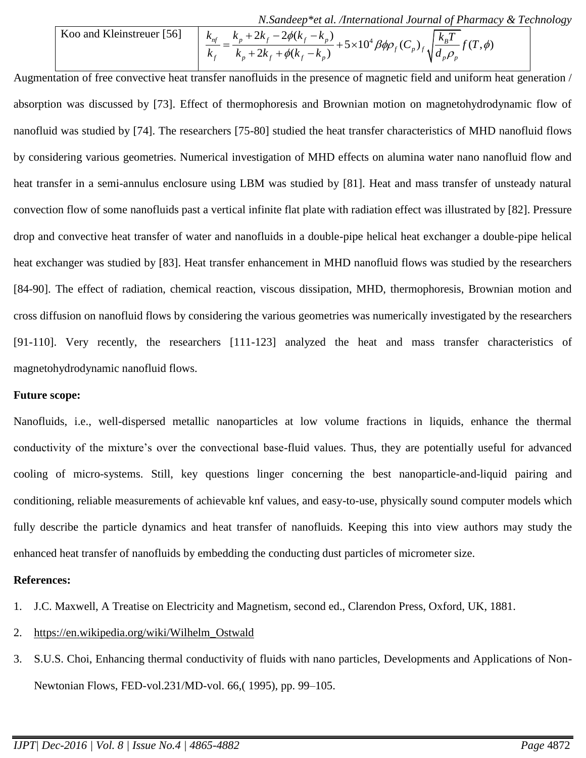*N.Sandeep\*et al. /International Journal of Pharmacy & Technology*

6.4. *Nondeep\*et al. International Journal of Pharmacy & Techno*

\n6. 
$$
\frac{k_{\text{nf}}}{k_f} = \frac{k_p + 2k_f - 2\phi(k_f - k_p)}{k_p + 2k_f + \phi(k_f - k_p)} + 5 \times 10^4 \beta \phi \rho_f(C_p)_f \sqrt{\frac{k_B T}{d_p \rho_p}} f(T, \phi)
$$

Augmentation of free convective heat transfer nanofluids in the presence of magnetic field and uniform heat generation / absorption was discussed by [73]. Effect of thermophoresis and Brownian motion on magnetohydrodynamic flow of nanofluid was studied by [74]. The researchers [75-80] studied the heat transfer characteristics of MHD nanofluid flows by considering various geometries. Numerical investigation of MHD effects on alumina water nano nanofluid flow and heat transfer in a semi-annulus enclosure using LBM was studied by [81]. Heat and mass transfer of unsteady natural convection flow of some nanofluids past a vertical infinite flat plate with radiation effect was illustrated by [82]. Pressure drop and convective heat transfer of water and nanofluids in a double-pipe helical heat exchanger a double-pipe helical heat exchanger was studied by [83]. Heat transfer enhancement in MHD nanofluid flows was studied by the researchers [84-90]. The effect of radiation, chemical reaction, viscous dissipation, MHD, thermophoresis, Brownian motion and cross diffusion on nanofluid flows by considering the various geometries was numerically investigated by the researchers [91-110]. Very recently, the researchers [111-123] analyzed the heat and mass transfer characteristics of magnetohydrodynamic nanofluid flows.

#### **Future scope:**

Nanofluids, i.e., well-dispersed metallic nanoparticles at low volume fractions in liquids, enhance the thermal conductivity of the mixture's over the convectional base-fluid values. Thus, they are potentially useful for advanced cooling of micro-systems. Still, key questions linger concerning the best nanoparticle-and-liquid pairing and conditioning, reliable measurements of achievable knf values, and easy-to-use, physically sound computer models which fully describe the particle dynamics and heat transfer of nanofluids. Keeping this into view authors may study the enhanced heat transfer of nanofluids by embedding the conducting dust particles of micrometer size.

#### **References:**

- 1. J.C. Maxwell, A Treatise on Electricity and Magnetism, second ed., Clarendon Press, Oxford, UK, 1881.
- 2. [https://en.wikipedia.org/wiki/Wilhelm\\_Ostwald](https://en.wikipedia.org/wiki/Wilhelm_Ostwald)
- 3. S.U.S. Choi, Enhancing thermal conductivity of fluids with nano particles, Developments and Applications of Non-Newtonian Flows, FED-vol.231/MD-vol. 66,( 1995), pp. 99–105.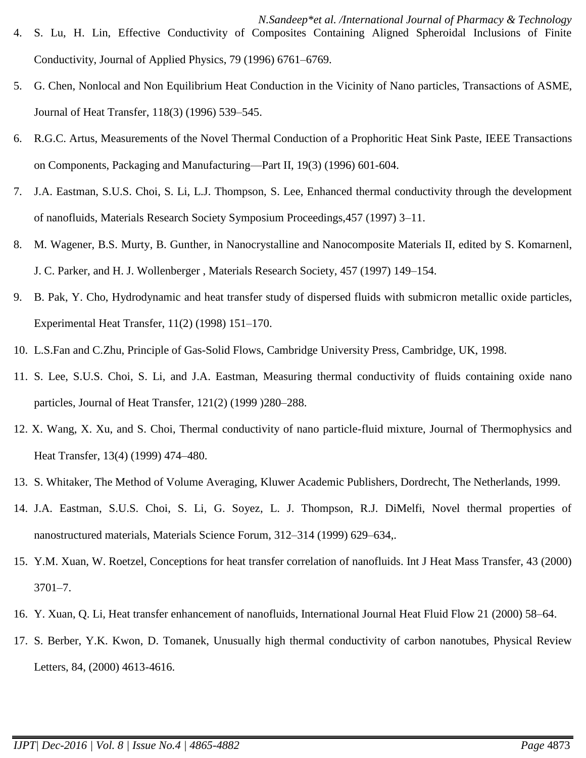- 5. G. Chen, Nonlocal and Non Equilibrium Heat Conduction in the Vicinity of Nano particles, Transactions of ASME, Journal of Heat Transfer, 118(3) (1996) 539–545.
- 6. R.G.C. Artus, Measurements of the Novel Thermal Conduction of a Prophoritic Heat Sink Paste, IEEE Transactions on Components, Packaging and Manufacturing—Part II, 19(3) (1996) 601-604.
- 7. J.A. Eastman, S.U.S. Choi, S. Li, L.J. Thompson, S. Lee, Enhanced thermal conductivity through the development of nanofluids, Materials Research Society Symposium Proceedings,457 (1997) 3–11.
- 8. M. Wagener, B.S. Murty, B. Gunther, in Nanocrystalline and Nanocomposite Materials II, edited by S. Komarnenl, J. C. Parker, and H. J. Wollenberger , Materials Research Society, 457 (1997) 149–154.
- 9. B. Pak, Y. Cho, Hydrodynamic and heat transfer study of dispersed fluids with submicron metallic oxide particles, Experimental Heat Transfer, 11(2) (1998) 151–170.
- 10. L.S.Fan and C.Zhu, Principle of Gas-Solid Flows, Cambridge University Press, Cambridge, UK, 1998.
- 11. S. Lee, S.U.S. Choi, S. Li, and J.A. Eastman, Measuring thermal conductivity of fluids containing oxide nano particles, Journal of Heat Transfer, 121(2) (1999 )280–288.
- 12. X. Wang, X. Xu, and S. Choi, Thermal conductivity of nano particle-fluid mixture, Journal of Thermophysics and Heat Transfer, 13(4) (1999) 474–480.
- 13. S. Whitaker, The Method of Volume Averaging, Kluwer Academic Publishers, Dordrecht, The Netherlands, 1999.
- 14. J.A. Eastman, S.U.S. Choi, S. Li, G. Soyez, L. J. Thompson, R.J. DiMelfi, Novel thermal properties of nanostructured materials, Materials Science Forum, 312–314 (1999) 629–634,.
- 15. Y.M. Xuan, W. Roetzel, Conceptions for heat transfer correlation of nanofluids. Int J Heat Mass Transfer, 43 (2000) 3701–7.
- 16. Y. Xuan, Q. Li, Heat transfer enhancement of nanofluids, International Journal Heat Fluid Flow 21 (2000) 58–64.
- 17. S. Berber, Y.K. Kwon, D. Tomanek, Unusually high thermal conductivity of carbon nanotubes, Physical Review Letters, 84, (2000) 4613-4616.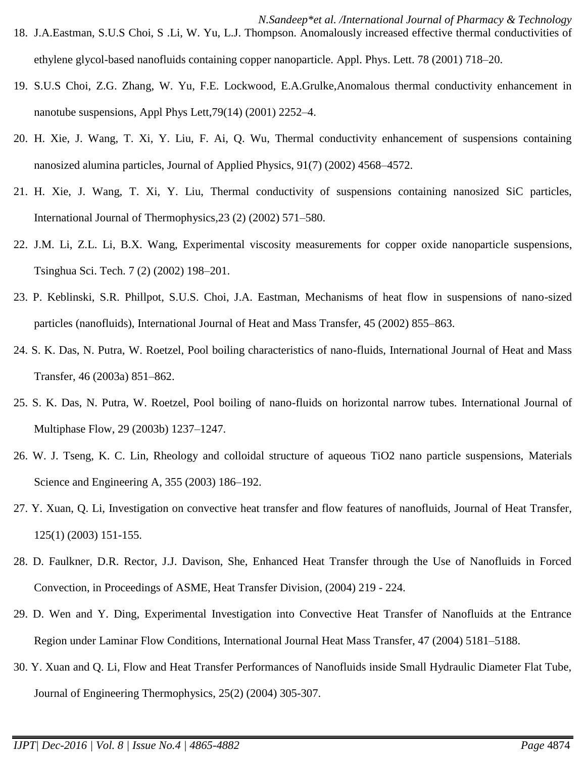- *N.Sandeep\*et al. /International Journal of Pharmacy & Technology* 18. J.A.Eastman, S.U.S Choi, S .Li, W. Yu, L.J. Thompson. Anomalously increased effective thermal conductivities of ethylene glycol-based nanofluids containing copper nanoparticle. Appl. Phys. Lett. 78 (2001) 718–20.
- 19. S.U.S Choi, Z.G. Zhang, W. Yu, F.E. Lockwood, E.A.Grulke,Anomalous thermal conductivity enhancement in nanotube suspensions, Appl Phys Lett,79(14) (2001) 2252–4.
- 20. H. Xie, J. Wang, T. Xi, Y. Liu, F. Ai, Q. Wu, Thermal conductivity enhancement of suspensions containing nanosized alumina particles, Journal of Applied Physics, 91(7) (2002) 4568–4572.
- 21. H. Xie, J. Wang, T. Xi, Y. Liu, Thermal conductivity of suspensions containing nanosized SiC particles, International Journal of Thermophysics,23 (2) (2002) 571–580.
- 22. J.M. Li, Z.L. Li, B.X. Wang, Experimental viscosity measurements for copper oxide nanoparticle suspensions, Tsinghua Sci. Tech. 7 (2) (2002) 198–201.
- 23. P. Keblinski, S.R. Phillpot, S.U.S. Choi, J.A. Eastman, Mechanisms of heat flow in suspensions of nano-sized particles (nanofluids), International Journal of Heat and Mass Transfer, 45 (2002) 855–863.
- 24. S. K. Das, N. Putra, W. Roetzel, Pool boiling characteristics of nano-fluids, International Journal of Heat and Mass Transfer, 46 (2003a) 851–862.
- 25. S. K. Das, N. Putra, W. Roetzel, Pool boiling of nano-fluids on horizontal narrow tubes. International Journal of Multiphase Flow, 29 (2003b) 1237–1247.
- 26. W. J. Tseng, K. C. Lin, Rheology and colloidal structure of aqueous TiO2 nano particle suspensions, Materials Science and Engineering A, 355 (2003) 186–192.
- 27. Y. Xuan, Q. Li, Investigation on convective heat transfer and flow features of nanofluids, Journal of Heat Transfer, 125(1) (2003) 151-155.
- 28. D. Faulkner, D.R. Rector, J.J. Davison, She, Enhanced Heat Transfer through the Use of Nanofluids in Forced Convection, in Proceedings of ASME, Heat Transfer Division, (2004) 219 - 224.
- 29. D. Wen and Y. Ding, Experimental Investigation into Convective Heat Transfer of Nanofluids at the Entrance Region under Laminar Flow Conditions, International Journal Heat Mass Transfer, 47 (2004) 5181–5188.
- 30. Y. Xuan and Q. Li, Flow and Heat Transfer Performances of Nanofluids inside Small Hydraulic Diameter Flat Tube, Journal of Engineering Thermophysics, 25(2) (2004) 305-307.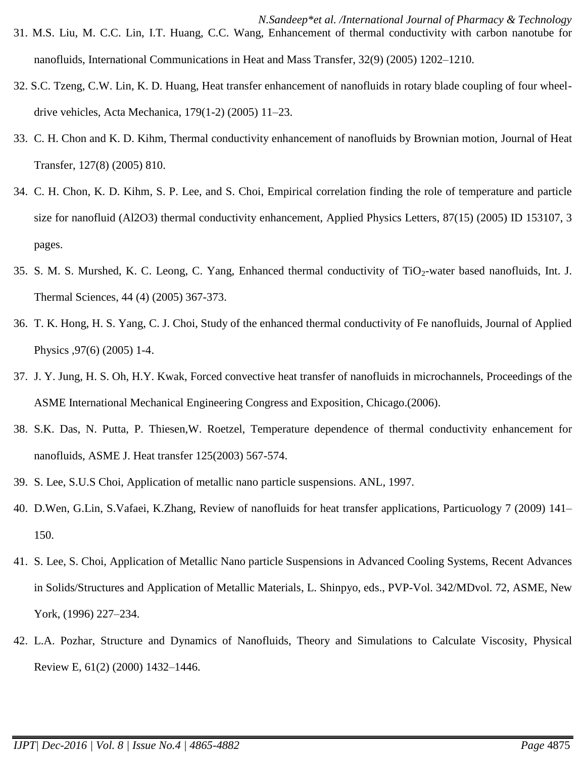- *N.Sandeep\*et al. /International Journal of Pharmacy & Technology* 31. M.S. Liu, M. C.C. Lin, I.T. Huang, C.C. Wang, Enhancement of thermal conductivity with carbon nanotube for nanofluids, International Communications in Heat and Mass Transfer, 32(9) (2005) 1202–1210.
- 32. S.C. Tzeng, C.W. Lin, K. D. Huang, Heat transfer enhancement of nanofluids in rotary blade coupling of four wheeldrive vehicles, Acta Mechanica, 179(1-2) (2005) 11–23.
- 33. C. H. Chon and K. D. Kihm, Thermal conductivity enhancement of nanofluids by Brownian motion, Journal of Heat Transfer, 127(8) (2005) 810.
- 34. C. H. Chon, K. D. Kihm, S. P. Lee, and S. Choi, Empirical correlation finding the role of temperature and particle size for nanofluid (Al2O3) thermal conductivity enhancement, Applied Physics Letters, 87(15) (2005) ID 153107, 3 pages.
- 35. S. M. S. Murshed, K. C. Leong, C. Yang, Enhanced thermal conductivity of  $TiO<sub>2</sub>$ -water based nanofluids, Int. J. Thermal Sciences, 44 (4) (2005) 367-373.
- 36. T. K. Hong, H. S. Yang, C. J. Choi, Study of the enhanced thermal conductivity of Fe nanofluids, Journal of Applied Physics ,97(6) (2005) 1-4.
- 37. J. Y. Jung, H. S. Oh, H.Y. Kwak, Forced convective heat transfer of nanofluids in microchannels, Proceedings of the ASME International Mechanical Engineering Congress and Exposition, Chicago.(2006).
- 38. S.K. Das, N. Putta, P. Thiesen,W. Roetzel, Temperature dependence of thermal conductivity enhancement for nanofluids, ASME J. Heat transfer 125(2003) 567-574.
- 39. S. Lee, S.U.S Choi, Application of metallic nano particle suspensions. ANL, 1997.
- 40. D.Wen, G.Lin, S.Vafaei, K.Zhang, Review of nanofluids for heat transfer applications, Particuology 7 (2009) 141– 150.
- 41. S. Lee, S. Choi, Application of Metallic Nano particle Suspensions in Advanced Cooling Systems, Recent Advances in Solids/Structures and Application of Metallic Materials, L. Shinpyo, eds., PVP-Vol. 342/MDvol. 72, ASME, New York, (1996) 227–234.
- 42. L.A. Pozhar, Structure and Dynamics of Nanofluids, Theory and Simulations to Calculate Viscosity, Physical Review E, 61(2) (2000) 1432–1446.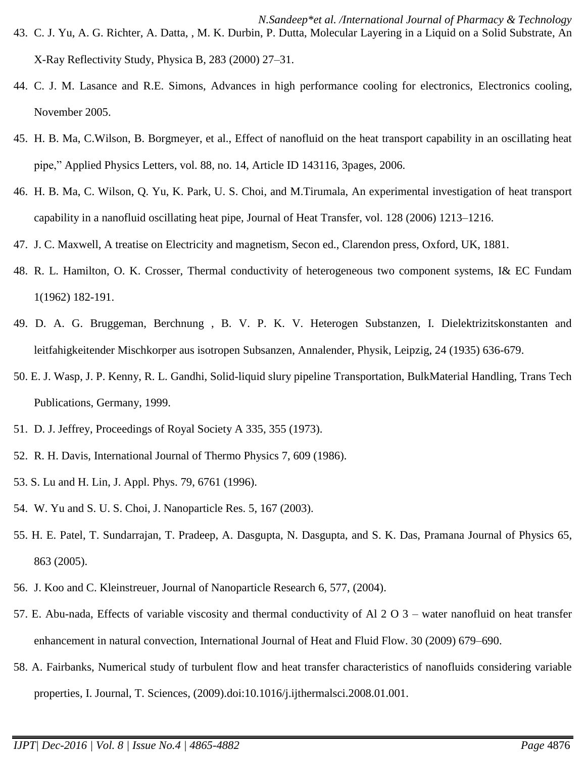- 44. C. J. M. Lasance and R.E. Simons, Advances in high performance cooling for electronics, Electronics cooling, November 2005.
- 45. H. B. Ma, C.Wilson, B. Borgmeyer, et al., Effect of nanofluid on the heat transport capability in an oscillating heat pipe," Applied Physics Letters, vol. 88, no. 14, Article ID 143116, 3pages, 2006.
- 46. H. B. Ma, C. Wilson, Q. Yu, K. Park, U. S. Choi, and M.Tirumala, An experimental investigation of heat transport capability in a nanofluid oscillating heat pipe, Journal of Heat Transfer, vol. 128 (2006) 1213–1216.
- 47. J. C. Maxwell, A treatise on Electricity and magnetism, Secon ed., Clarendon press, Oxford, UK, 1881.
- 48. R. L. Hamilton, O. K. Crosser, Thermal conductivity of heterogeneous two component systems, I& EC Fundam 1(1962) 182-191.
- 49. D. A. G. Bruggeman, Berchnung , B. V. P. K. V. Heterogen Substanzen, I. Dielektrizitskonstanten and leitfahigkeitender Mischkorper aus isotropen Subsanzen, Annalender, Physik, Leipzig, 24 (1935) 636-679.
- 50. E. J. Wasp, J. P. Kenny, R. L. Gandhi, Solid-liquid slury pipeline Transportation, BulkMaterial Handling, Trans Tech Publications, Germany, 1999.
- 51. D. J. Jeffrey, Proceedings of Royal Society A 335, 355 (1973).
- 52. R. H. Davis, International Journal of Thermo Physics 7, 609 (1986).
- 53. S. Lu and H. Lin, J. Appl. Phys. 79, 6761 (1996).
- 54. W. Yu and S. U. S. Choi, J. Nanoparticle Res. 5, 167 (2003).
- 55. H. E. Patel, T. Sundarrajan, T. Pradeep, A. Dasgupta, N. Dasgupta, and S. K. Das, Pramana Journal of Physics 65, 863 (2005).
- 56. J. Koo and C. Kleinstreuer, Journal of Nanoparticle Research 6, 577, (2004).
- 57. E. Abu-nada, Effects of variable viscosity and thermal conductivity of Al 2 O 3 water nanofluid on heat transfer enhancement in natural convection, International Journal of Heat and Fluid Flow. 30 (2009) 679–690.
- 58. A. Fairbanks, Numerical study of turbulent flow and heat transfer characteristics of nanofluids considering variable properties, I. Journal, T. Sciences, (2009).doi:10.1016/j.ijthermalsci.2008.01.001.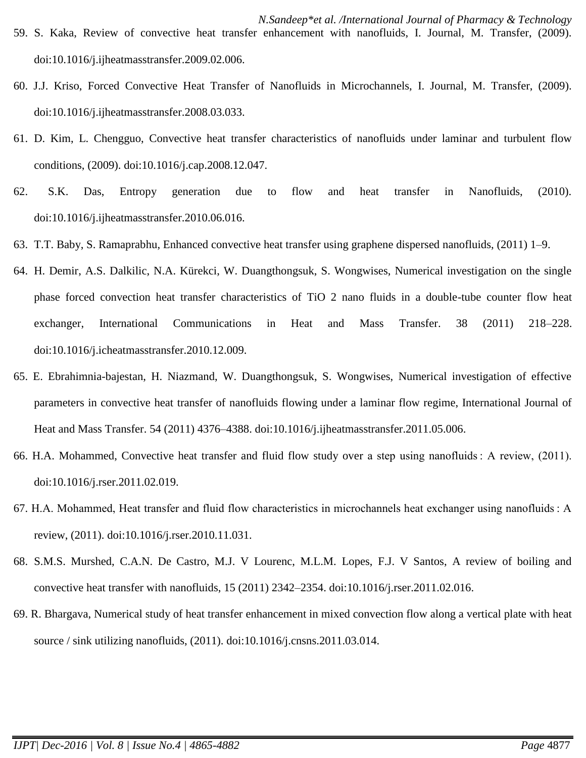- 60. J.J. Kriso, Forced Convective Heat Transfer of Nanofluids in Microchannels, I. Journal, M. Transfer, (2009). doi:10.1016/j.ijheatmasstransfer.2008.03.033.
- 61. D. Kim, L. Chengguo, Convective heat transfer characteristics of nanofluids under laminar and turbulent flow conditions, (2009). doi:10.1016/j.cap.2008.12.047.
- 62. S.K. Das, Entropy generation due to flow and heat transfer in Nanofluids, (2010). doi:10.1016/j.ijheatmasstransfer.2010.06.016.
- 63. T.T. Baby, S. Ramaprabhu, Enhanced convective heat transfer using graphene dispersed nanofluids, (2011) 1–9.
- 64. H. Demir, A.S. Dalkilic, N.A. Kürekci, W. Duangthongsuk, S. Wongwises, Numerical investigation on the single phase forced convection heat transfer characteristics of TiO 2 nano fluids in a double-tube counter flow heat exchanger, International Communications in Heat and Mass Transfer. 38 (2011) 218–228. doi:10.1016/j.icheatmasstransfer.2010.12.009.
- 65. E. Ebrahimnia-bajestan, H. Niazmand, W. Duangthongsuk, S. Wongwises, Numerical investigation of effective parameters in convective heat transfer of nanofluids flowing under a laminar flow regime, International Journal of Heat and Mass Transfer. 54 (2011) 4376–4388. doi:10.1016/j.ijheatmasstransfer.2011.05.006.
- 66. H.A. Mohammed, Convective heat transfer and fluid flow study over a step using nanofluids : A review, (2011). doi:10.1016/j.rser.2011.02.019.
- 67. H.A. Mohammed, Heat transfer and fluid flow characteristics in microchannels heat exchanger using nanofluids : A review, (2011). doi:10.1016/j.rser.2010.11.031.
- 68. S.M.S. Murshed, C.A.N. De Castro, M.J. V Lourenc, M.L.M. Lopes, F.J. V Santos, A review of boiling and convective heat transfer with nanofluids, 15 (2011) 2342–2354. doi:10.1016/j.rser.2011.02.016.
- 69. R. Bhargava, Numerical study of heat transfer enhancement in mixed convection flow along a vertical plate with heat source / sink utilizing nanofluids, (2011). doi:10.1016/j.cnsns.2011.03.014.

doi:10.1016/j.ijheatmasstransfer.2009.02.006.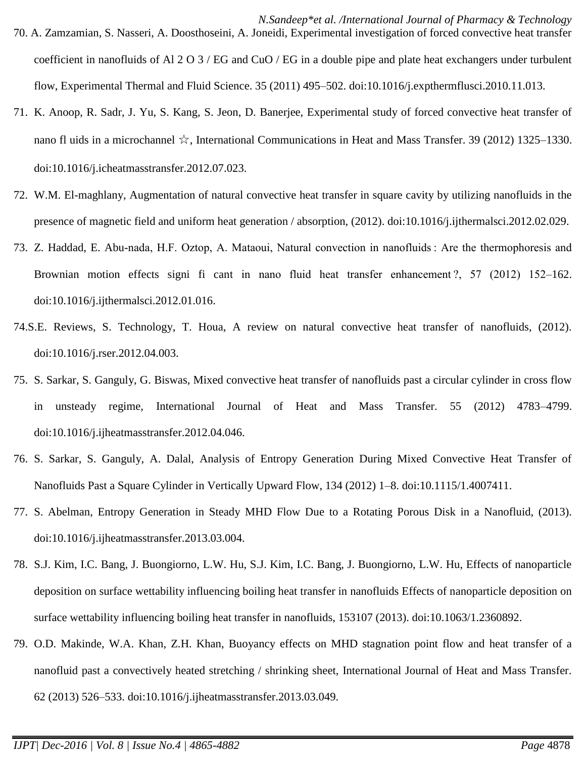- 70. A. Zamzamian, S. Nasseri, A. Doosthoseini, A. Joneidi, Experimental investigation of forced convective heat transfer coefficient in nanofluids of Al 2 O 3 / EG and CuO / EG in a double pipe and plate heat exchangers under turbulent flow, Experimental Thermal and Fluid Science. 35 (2011) 495–502. doi:10.1016/j.expthermflusci.2010.11.013.
- 71. K. Anoop, R. Sadr, J. Yu, S. Kang, S. Jeon, D. Banerjee, Experimental study of forced convective heat transfer of nano fl uids in a microchannel ☆, International Communications in Heat and Mass Transfer. 39 (2012) 1325–1330. doi:10.1016/j.icheatmasstransfer.2012.07.023.
- 72. W.M. El-maghlany, Augmentation of natural convective heat transfer in square cavity by utilizing nanofluids in the presence of magnetic field and uniform heat generation / absorption, (2012). doi:10.1016/j.ijthermalsci.2012.02.029.
- 73. Z. Haddad, E. Abu-nada, H.F. Oztop, A. Mataoui, Natural convection in nanofluids : Are the thermophoresis and Brownian motion effects signi fi cant in nano fluid heat transfer enhancement ?, 57 (2012) 152–162. doi:10.1016/j.ijthermalsci.2012.01.016.
- 74.S.E. Reviews, S. Technology, T. Houa, A review on natural convective heat transfer of nanofluids, (2012). doi:10.1016/j.rser.2012.04.003.
- 75. S. Sarkar, S. Ganguly, G. Biswas, Mixed convective heat transfer of nanofluids past a circular cylinder in cross flow in unsteady regime, International Journal of Heat and Mass Transfer. 55 (2012) 4783–4799. doi:10.1016/j.ijheatmasstransfer.2012.04.046.
- 76. S. Sarkar, S. Ganguly, A. Dalal, Analysis of Entropy Generation During Mixed Convective Heat Transfer of Nanofluids Past a Square Cylinder in Vertically Upward Flow, 134 (2012) 1–8. doi:10.1115/1.4007411.
- 77. S. Abelman, Entropy Generation in Steady MHD Flow Due to a Rotating Porous Disk in a Nanofluid, (2013). doi:10.1016/j.ijheatmasstransfer.2013.03.004.
- 78. S.J. Kim, I.C. Bang, J. Buongiorno, L.W. Hu, S.J. Kim, I.C. Bang, J. Buongiorno, L.W. Hu, Effects of nanoparticle deposition on surface wettability influencing boiling heat transfer in nanofluids Effects of nanoparticle deposition on surface wettability influencing boiling heat transfer in nanofluids, 153107 (2013). doi:10.1063/1.2360892.
- 79. O.D. Makinde, W.A. Khan, Z.H. Khan, Buoyancy effects on MHD stagnation point flow and heat transfer of a nanofluid past a convectively heated stretching / shrinking sheet, International Journal of Heat and Mass Transfer. 62 (2013) 526–533. doi:10.1016/j.ijheatmasstransfer.2013.03.049.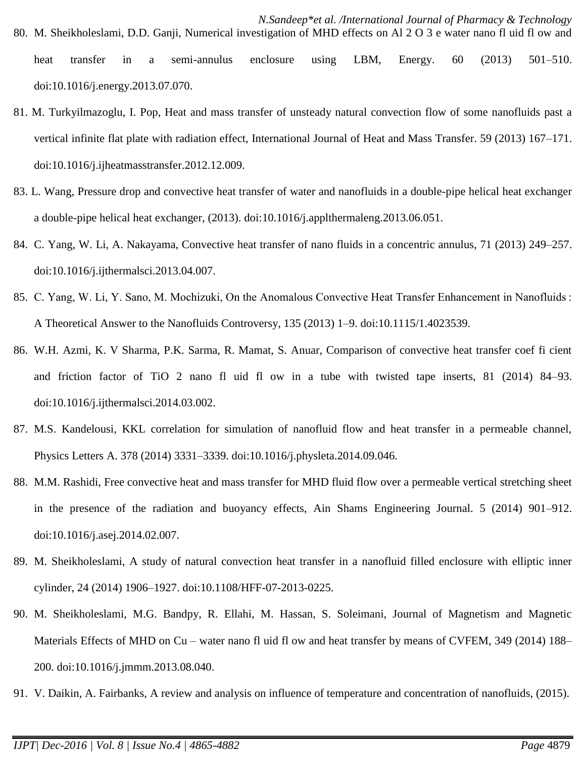*N.Sandeep\*et al. /International Journal of Pharmacy & Technology* 80. M. Sheikholeslami, D.D. Ganji, Numerical investigation of MHD effects on Al 2 O 3 e water nano fl uid fl ow and heat transfer in a semi-annulus enclosure using LBM, Energy. 60 (2013) 501–510.

doi:10.1016/j.energy.2013.07.070.

- 81. M. Turkyilmazoglu, I. Pop, Heat and mass transfer of unsteady natural convection flow of some nanofluids past a vertical infinite flat plate with radiation effect, International Journal of Heat and Mass Transfer. 59 (2013) 167–171. doi:10.1016/j.ijheatmasstransfer.2012.12.009.
- 83. L. Wang, Pressure drop and convective heat transfer of water and nanofluids in a double-pipe helical heat exchanger a double-pipe helical heat exchanger, (2013). doi:10.1016/j.applthermaleng.2013.06.051.
- 84. C. Yang, W. Li, A. Nakayama, Convective heat transfer of nano fluids in a concentric annulus, 71 (2013) 249–257. doi:10.1016/j.ijthermalsci.2013.04.007.
- 85. C. Yang, W. Li, Y. Sano, M. Mochizuki, On the Anomalous Convective Heat Transfer Enhancement in Nanofluids : A Theoretical Answer to the Nanofluids Controversy, 135 (2013) 1–9. doi:10.1115/1.4023539.
- 86. W.H. Azmi, K. V Sharma, P.K. Sarma, R. Mamat, S. Anuar, Comparison of convective heat transfer coef fi cient and friction factor of TiO 2 nano fl uid fl ow in a tube with twisted tape inserts, 81 (2014) 84–93. doi:10.1016/j.ijthermalsci.2014.03.002.
- 87. M.S. Kandelousi, KKL correlation for simulation of nanofluid flow and heat transfer in a permeable channel, Physics Letters A. 378 (2014) 3331–3339. doi:10.1016/j.physleta.2014.09.046.
- 88. M.M. Rashidi, Free convective heat and mass transfer for MHD fluid flow over a permeable vertical stretching sheet in the presence of the radiation and buoyancy effects, Ain Shams Engineering Journal. 5 (2014) 901–912. doi:10.1016/j.asej.2014.02.007.
- 89. M. Sheikholeslami, A study of natural convection heat transfer in a nanofluid filled enclosure with elliptic inner cylinder, 24 (2014) 1906–1927. doi:10.1108/HFF-07-2013-0225.
- 90. M. Sheikholeslami, M.G. Bandpy, R. Ellahi, M. Hassan, S. Soleimani, Journal of Magnetism and Magnetic Materials Effects of MHD on Cu – water nano fl uid fl ow and heat transfer by means of CVFEM, 349 (2014) 188– 200. doi:10.1016/j.jmmm.2013.08.040.
- 91. V. Daikin, A. Fairbanks, A review and analysis on influence of temperature and concentration of nanofluids, (2015).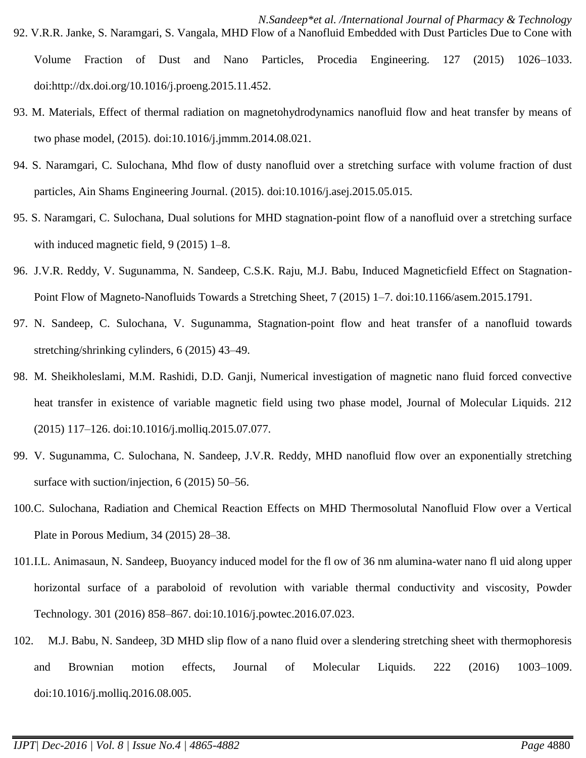- *N.Sandeep\*et al. /International Journal of Pharmacy & Technology* 92. V.R.R. Janke, S. Naramgari, S. Vangala, MHD Flow of a Nanofluid Embedded with Dust Particles Due to Cone with Volume Fraction of Dust and Nano Particles, Procedia Engineering. 127 (2015) 1026–1033. doi:http://dx.doi.org/10.1016/j.proeng.2015.11.452.
- 93. M. Materials, Effect of thermal radiation on magnetohydrodynamics nanofluid flow and heat transfer by means of two phase model, (2015). doi:10.1016/j.jmmm.2014.08.021.
- 94. S. Naramgari, C. Sulochana, Mhd flow of dusty nanofluid over a stretching surface with volume fraction of dust particles, Ain Shams Engineering Journal. (2015). doi:10.1016/j.asej.2015.05.015.
- 95. S. Naramgari, C. Sulochana, Dual solutions for MHD stagnation-point flow of a nanofluid over a stretching surface with induced magnetic field, 9 (2015) 1–8.
- 96. J.V.R. Reddy, V. Sugunamma, N. Sandeep, C.S.K. Raju, M.J. Babu, Induced Magneticfield Effect on Stagnation-Point Flow of Magneto-Nanofluids Towards a Stretching Sheet, 7 (2015) 1–7. doi:10.1166/asem.2015.1791.
- 97. N. Sandeep, C. Sulochana, V. Sugunamma, Stagnation-point flow and heat transfer of a nanofluid towards stretching/shrinking cylinders, 6 (2015) 43–49.
- 98. M. Sheikholeslami, M.M. Rashidi, D.D. Ganji, Numerical investigation of magnetic nano fluid forced convective heat transfer in existence of variable magnetic field using two phase model, Journal of Molecular Liquids. 212 (2015) 117–126. doi:10.1016/j.molliq.2015.07.077.
- 99. V. Sugunamma, C. Sulochana, N. Sandeep, J.V.R. Reddy, MHD nanofluid flow over an exponentially stretching surface with suction/injection, 6 (2015) 50–56.
- 100.C. Sulochana, Radiation and Chemical Reaction Effects on MHD Thermosolutal Nanofluid Flow over a Vertical Plate in Porous Medium, 34 (2015) 28–38.
- 101.I.L. Animasaun, N. Sandeep, Buoyancy induced model for the fl ow of 36 nm alumina-water nano fl uid along upper horizontal surface of a paraboloid of revolution with variable thermal conductivity and viscosity, Powder Technology. 301 (2016) 858–867. doi:10.1016/j.powtec.2016.07.023.
- 102. M.J. Babu, N. Sandeep, 3D MHD slip flow of a nano fluid over a slendering stretching sheet with thermophoresis and Brownian motion effects, Journal of Molecular Liquids. 222 (2016) 1003–1009. doi:10.1016/j.molliq.2016.08.005.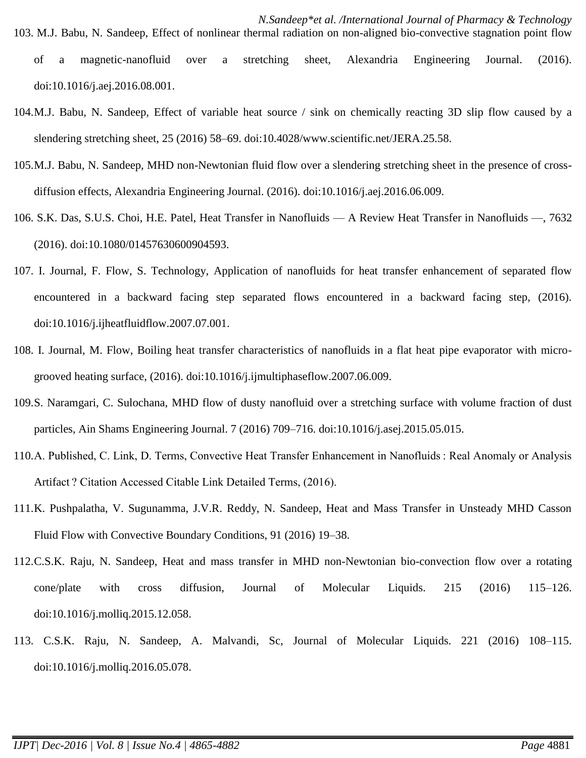- 104.M.J. Babu, N. Sandeep, Effect of variable heat source / sink on chemically reacting 3D slip flow caused by a slendering stretching sheet, 25 (2016) 58–69. doi:10.4028/www.scientific.net/JERA.25.58.
- 105.M.J. Babu, N. Sandeep, MHD non-Newtonian fluid flow over a slendering stretching sheet in the presence of crossdiffusion effects, Alexandria Engineering Journal. (2016). doi:10.1016/j.aej.2016.06.009.
- 106. S.K. Das, S.U.S. Choi, H.E. Patel, Heat Transfer in Nanofluids A Review Heat Transfer in Nanofluids —, 7632 (2016). doi:10.1080/01457630600904593.
- 107. I. Journal, F. Flow, S. Technology, Application of nanofluids for heat transfer enhancement of separated flow encountered in a backward facing step separated flows encountered in a backward facing step, (2016). doi:10.1016/j.ijheatfluidflow.2007.07.001.
- 108. I. Journal, M. Flow, Boiling heat transfer characteristics of nanofluids in a flat heat pipe evaporator with microgrooved heating surface, (2016). doi:10.1016/j.ijmultiphaseflow.2007.06.009.
- 109.S. Naramgari, C. Sulochana, MHD flow of dusty nanofluid over a stretching surface with volume fraction of dust particles, Ain Shams Engineering Journal. 7 (2016) 709–716. doi:10.1016/j.asej.2015.05.015.
- 110.A. Published, C. Link, D. Terms, Convective Heat Transfer Enhancement in Nanofluids : Real Anomaly or Analysis Artifact ? Citation Accessed Citable Link Detailed Terms, (2016).
- 111.K. Pushpalatha, V. Sugunamma, J.V.R. Reddy, N. Sandeep, Heat and Mass Transfer in Unsteady MHD Casson Fluid Flow with Convective Boundary Conditions, 91 (2016) 19–38.
- 112.C.S.K. Raju, N. Sandeep, Heat and mass transfer in MHD non-Newtonian bio-convection flow over a rotating cone/plate with cross diffusion, Journal of Molecular Liquids. 215 (2016) 115–126. doi:10.1016/j.molliq.2015.12.058.
- 113. C.S.K. Raju, N. Sandeep, A. Malvandi, Sc, Journal of Molecular Liquids. 221 (2016) 108–115. doi:10.1016/j.molliq.2016.05.078.